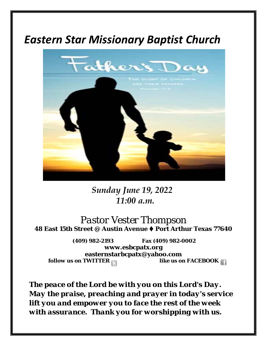# *Eastern Star Missionary Baptist Church*



*Sunday June 19, 2022 11:00 a.m.*

*Pastor Vester Thompson* **48 East 15th Street @ Austin Avenue ♦ Port Arthur Texas 77640** 

**(409) 982-2193 Fax (409) 982-0002 [www.esbcpatx.org](http://www.esbcpatx.org/) easternstarbcpatx@yahoo.com** *follow us on TWITTER* 

*The peace of the Lord be with you on this Lord's Day. May the praise, preaching and prayer in today's service lift you and empower you to face the rest of the week with assurance. Thank you for worshipping with us.*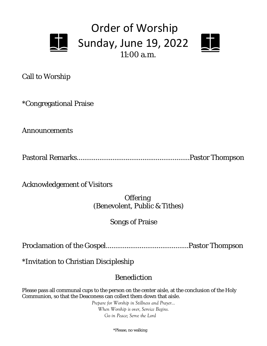



Call to Worship

\*Congregational Praise

Announcements

Pastoral Remarks............................................................Pastor Thompson

Acknowledgement of Visitors

**Offering** (Benevolent, Public & Tithes)

### Songs of Praise

Proclamation of the Gospel............................................Pastor Thompson

\*Invitation to Christian Discipleship

## Benediction

Please pass all communal cups to the person on the center aisle, at the conclusion of the Holy Communion, so that the Deaconess can collect them down that aisle.

> *Prepare for Worship in Stillness and Prayer… When Worship is over, Service Begins. Go in Peace; Serve the Lord*

> > \*Please, no walking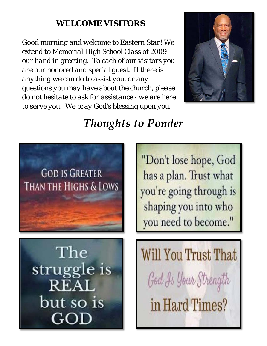# *WELCOME VISITORS*

*Good morning and welcome to Eastern Star! We extend to Memorial High School Class of 2009 our hand in greeting. To each of our visitors you are our honored and special guest. If there is anything we can do to assist you, or any questions you may have about the church, please do not hesitate to ask for assistance - we are here to serve you. We pray God's blessing upon you.*



# *Thoughts to Ponder*

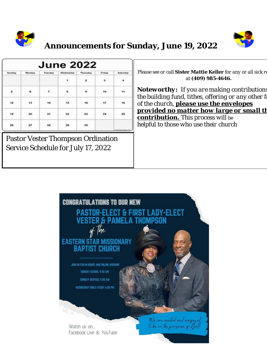



# **Announcements for Sunday, June 19, 2022**

| <b>June 2022</b> |        |                |           |                 |                          |           |  |
|------------------|--------|----------------|-----------|-----------------|--------------------------|-----------|--|
| Sunday           | Monday | Tuesday        | Wednesday | <b>Thursday</b> | Friday                   | Saturday  |  |
|                  |        |                | $\bullet$ | $2^{\circ}$     | $\overline{\phantom{a}}$ | 4         |  |
| s                | 6      | 7 <sup>7</sup> | 古         | $\bullet$       | 10                       | <b>TE</b> |  |
| 12               | $13-$  | $-14$          | 15        | 16              | $-17$                    | 18        |  |
| 19               | 20     | 21             | 22        | 23              | 24                       | 25        |  |
| oz.<br>26        | 27     | 28.            | 29        | 30              |                          |           |  |

Pastor Vester Thompson Ordination Service Schedule for July 17, 2022

*Please see or call Sister Mattie Keller for any or all sick re at (409) 985-4646.* 

*Noteworthy: If you are making contributions the building fund, tithes, offering or any other fa of the church, please use the envelopes provided no matter how large or small th contribution. This process will be helpful to those who use their church*

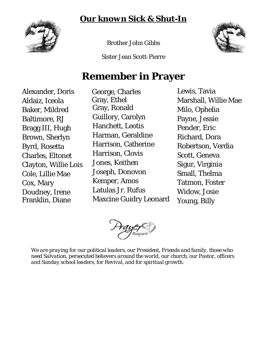*Our known Sick & Shut-In*



Brother John Gibbs

Sister Jean Scott-Pierre



# **Remember in Prayer**

Alexander, Doris Aldaiz, Iceola Baker, Mildred Baltimore, RJ Bragg III, Hugh Brown, Sherlyn Byrd, Rosetta Charles, Eltonet Clayton, Willie Lois Cole, Lillie Mae Cox, Mary Doudney, Irene Franklin, Diane

 George, Charles Gray, Ethel Gray, Ronald Guillory, Carolyn Hanchett, Leotis Harman, Geraldine Harrison, Catherine Harrison, Clovis Jones, Keithen Joseph, Donovon Kemper, Amos Latulas Jr. Rufus Maxcine Guidry Leonard Lewis, Tavia Marshall, Willie Mae Milo, Ophelia Payne, Jessie Pender, Eric Richard, Dora Robertson, Verdia Scott, Geneva Sigur, Virginia Small, Thelma Tatmon, Foster Widow, Josie Young, Billy

*We are praying for our political leaders, our President, Friends and family, those who need Salvation, persecuted believers around the world, our church, our Pastor, officers and Sunday school leaders, for Revival, and for spiritual growth.*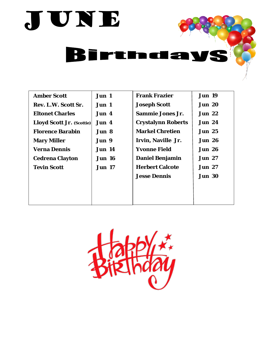

| <b>Amber Scott</b>        | Jun 1         | <b>Frank Frazier</b>      | <b>Jun 19</b> |  |
|---------------------------|---------------|---------------------------|---------------|--|
| Rev. L.W. Scott Sr.       | Jun 1         | <b>Joseph Scott</b>       | <b>Jun 20</b> |  |
| <b>Eltonet Charles</b>    | Jun 4         | <b>Sammie Jones Jr.</b>   | <b>Jun 22</b> |  |
| Lloyd Scott Jr. (Scottie) | Jun 4         | <b>Crystalynn Roberts</b> | <b>Jun 24</b> |  |
| <b>Florence Barabin</b>   | Jun 8         | <b>Markel Chretien</b>    | <b>Jun 25</b> |  |
| <b>Mary Miller</b>        | Jun 9         | Irvin, Naville Jr.        | <b>Jun 26</b> |  |
| <b>Verna Dennis</b>       | <b>Jun 14</b> | <b>Yvonne Field</b>       | <b>Jun 26</b> |  |
| <b>Cedrena Clayton</b>    | <b>Jun 16</b> | <b>Daniel Benjamin</b>    | <b>Jun 27</b> |  |
| <b>Tevin Scott</b>        | <b>Jun 17</b> | <b>Herbert Calcote</b>    | <b>Jun 27</b> |  |
|                           |               | <b>Jesse Dennis</b>       | <b>Jun 30</b> |  |
|                           |               |                           |               |  |
|                           |               |                           |               |  |
|                           |               |                           |               |  |

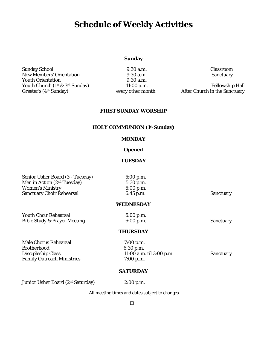## **Schedule of Weekly Activities**

#### **Sunday**

Sunday School 9:30 a.m. Classroom New Members' Orientation 9:30 a.m.<br>Youth Orientation 9:30 a.m. Youth Orientation Youth Church (1<sup>st</sup> & 3<sup>rd</sup> Sunday) 11:00 a.m. Fellowship Hall<br>Greeter's (4<sup>th</sup> Sunday) every other month After Church in the Sanctuary

After Church in the Sanctuary

#### **FIRST SUNDAY WORSHIP**

#### **HOLY COMMUNION (1st Sunday)**

#### **MONDAY**

#### **Opened**

#### **TUESDAY**

| Senior Usher Board (3rd Tuesday)        | 5:00 p.m.        |                  |
|-----------------------------------------|------------------|------------------|
| Men in Action (2 <sup>nd</sup> Tuesday) | $5:30$ p.m.      |                  |
| <b>Women's Ministry</b>                 | 6:00 p.m.        |                  |
| <b>Sanctuary Choir Rehearsal</b>        | $6:45$ p.m.      | <b>Sanctuary</b> |
|                                         | <b>WEDNESDAY</b> |                  |
| <b>Youth Choir Rehearsal</b>            | 6:00 p.m.        |                  |
| <b>Bible Study &amp; Prayer Meeting</b> | 6:00 p.m.        | <b>Sanctuary</b> |
|                                         | <b>THURSDAY</b>  |                  |
| <b>Male Chorus Rehearsal</b>            | $7:00$ p.m.      |                  |
| <b>Rrothorhood</b>                      | $6.30 \text{ m}$ |                  |

Brotherhood 6:30 p.m. Family Outreach Ministries 7:00 p.m.

11:00 a.m. til 3:00 p.m. Sanctuary

#### **SATURDAY**

Junior Usher Board (2nd Saturday) 2:00 p.m.

All meeting times and dates subject to changes

 $\Box$